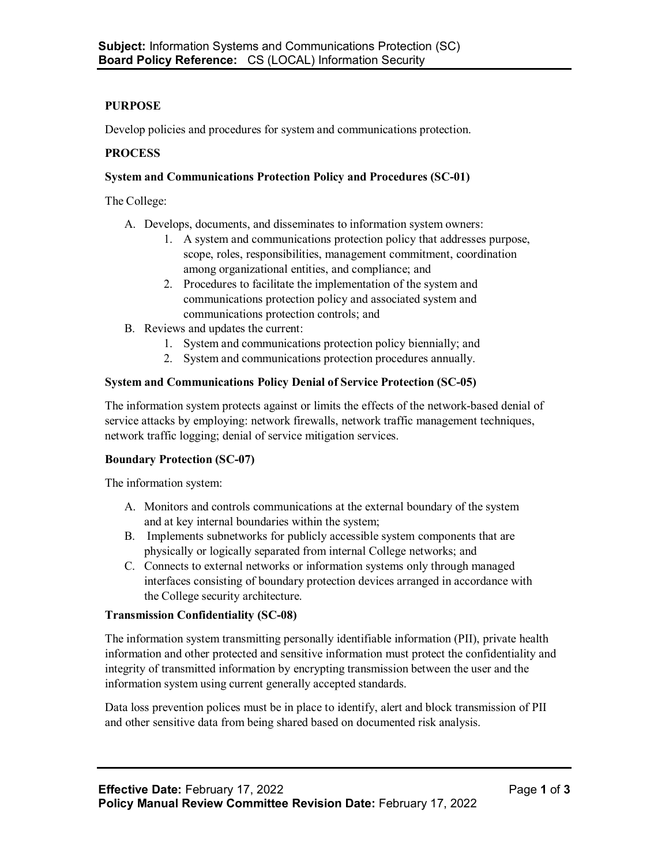# **PURPOSE**

Develop policies and procedures for system and communications protection.

#### **PROCESS**

#### **System and Communications Protection Policy and Procedures (SC-01)**

The College:

- A. Develops, documents, and disseminates to information system owners:
	- 1. A system and communications protection policy that addresses purpose, scope, roles, responsibilities, management commitment, coordination among organizational entities, and compliance; and
	- 2. Procedures to facilitate the implementation of the system and communications protection policy and associated system and communications protection controls; and
- B. Reviews and updates the current:
	- 1. System and communications protection policy biennially; and
	- 2. System and communications protection procedures annually.

## **System and Communications Policy Denial of Service Protection (SC-05)**

The information system protects against or limits the effects of the network-based denial of service attacks by employing: network firewalls, network traffic management techniques, network traffic logging; denial of service mitigation services.

#### **Boundary Protection (SC-07)**

The information system:

- A. Monitors and controls communications at the external boundary of the system and at key internal boundaries within the system;
- B. Implements subnetworks for publicly accessible system components that are physically or logically separated from internal College networks; and
- C. Connects to external networks or information systems only through managed interfaces consisting of boundary protection devices arranged in accordance with the College security architecture.

#### **Transmission Confidentiality (SC-08)**

The information system transmitting personally identifiable information (PII), private health information and other protected and sensitive information must protect the confidentiality and integrity of transmitted information by encrypting transmission between the user and the information system using current generally accepted standards.

Data loss prevention polices must be in place to identify, alert and block transmission of PII and other sensitive data from being shared based on documented risk analysis.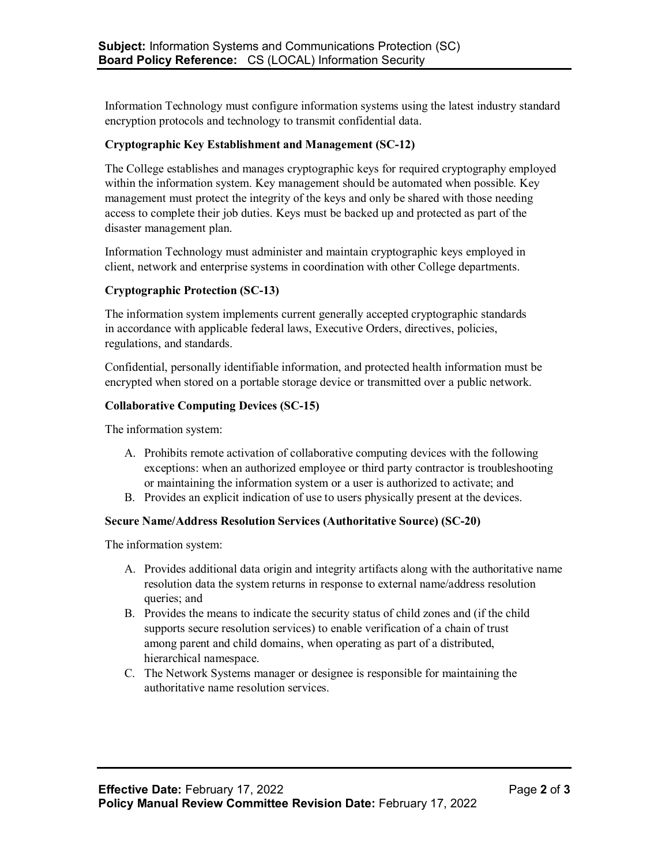Information Technology must configure information systems using the latest industry standard encryption protocols and technology to transmit confidential data.

## **Cryptographic Key Establishment and Management (SC-12)**

The College establishes and manages cryptographic keys for required cryptography employed within the information system. Key management should be automated when possible. Key management must protect the integrity of the keys and only be shared with those needing access to complete their job duties. Keys must be backed up and protected as part of the disaster management plan.

Information Technology must administer and maintain cryptographic keys employed in client, network and enterprise systems in coordination with other College departments.

#### **Cryptographic Protection (SC-13)**

The information system implements current generally accepted cryptographic standards in accordance with applicable federal laws, Executive Orders, directives, policies, regulations, and standards.

Confidential, personally identifiable information, and protected health information must be encrypted when stored on a portable storage device or transmitted over a public network.

## **Collaborative Computing Devices (SC-15)**

The information system:

- A. Prohibits remote activation of collaborative computing devices with the following exceptions: when an authorized employee or third party contractor is troubleshooting or maintaining the information system or a user is authorized to activate; and
- B. Provides an explicit indication of use to users physically present at the devices.

#### **Secure Name/Address Resolution Services (Authoritative Source) (SC-20)**

The information system:

- A. Provides additional data origin and integrity artifacts along with the authoritative name resolution data the system returns in response to external name/address resolution queries; and
- B. Provides the means to indicate the security status of child zones and (if the child supports secure resolution services) to enable verification of a chain of trust among parent and child domains, when operating as part of a distributed, hierarchical namespace.
- C. The Network Systems manager or designee is responsible for maintaining the authoritative name resolution services.